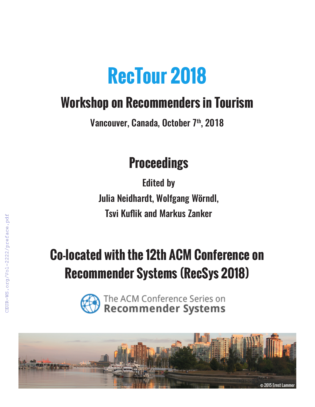

# **Workshop on Recommenders in Tourism**

Vancouver, Canada, October 7th, 2018

# **Proceedings**

Edited by Julia Neidhardt, Wolfgang Wörndl, Tsvi Kuflik and Markus Zanker

# **Co-located with the 12th ACM Conference on Recommender Systems (RecSys 2018)**



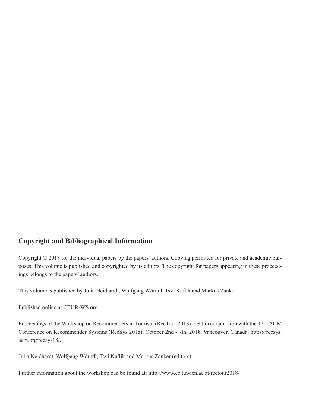#### **Copyright and Bibliographical Information**

Copyright © 2018 for the individual papers by the papers' authors. Copying permitted for private and academic purposes. This volume is published and copyrighted by its editors. The copyright for papers appearing in these proceedings belongs to the papers' authors.

This volume is published by Julia Neidhardt, Wolfgang Wörndl, Tsvi Kuflik and Markus Zanker.

Published online at CEUR-WS.org.

Proceedings of the Workshop on Recommenders in Tourism (RecTour 2018), held in conjunction with the 12th ACM Conference on Recommender Systems (RecSys 2018), October 2nd - 7th, 2018, Vancouver, Canada, https://recsys. acm.org/recsys18/.

Julia Neidhardt, Wolfgang Wörndl, Tsvi Kuflik and Markus Zanker (editors).

Further information about the workshop can be found at: http://www.ec.tuwien.ac.at/rectour2018/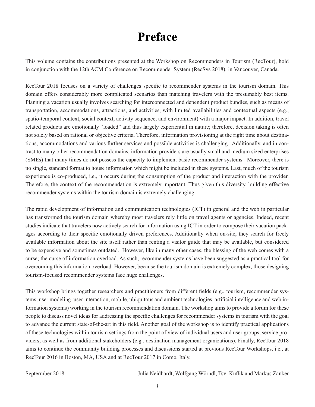### **Preface**

This volume contains the contributions presented at the Workshop on Recommenders in Tourism (RecTour), hold in conjunction with the 12th ACM Conference on Recommender System (RecSys 2018), in Vancouver, Canada.

RecTour 2018 focuses on a variety of challenges specific to recommender systems in the tourism domain. This domain offers considerably more complicated scenarios than matching travelers with the presumably best items. Planning a vacation usually involves searching for interconnected and dependent product bundles, such as means of transportation, accommodations, attractions, and activities, with limited availabilities and contextual aspects (e.g., spatio-temporal context, social context, activity sequence, and environment) with a major impact. In addition, travel related products are emotionally "loaded" and thus largely experiential in nature; therefore, decision taking is often not solely based on rational or objective criteria. Therefore, information provisioning at the right time about destinations, accommodations and various further services and possible activities is challenging. Additionally, and in contrast to many other recommendation domains, information providers are usually small and medium sized enterprises (SMEs) that many times do not possess the capacity to implement basic recommender systems. Moreover, there is no single, standard format to house information which might be included in these systems. Last, much of the tourism experience is co-produced, i.e., it occurs during the consumption of the product and interaction with the provider. Therefore, the context of the recommendation is extremely important. Thus given this diversity, building effective recommender systems within the tourism domain is extremely challenging.

The rapid development of information and communication technologies (ICT) in general and the web in particular has transformed the tourism domain whereby most travelers rely little on travel agents or agencies. Indeed, recent studies indicate that travelers now actively search for information using ICT in order to compose their vacation packages according to their specific emotionally driven preferences. Additionally when on-site, they search for freely available information about the site itself rather than renting a visitor guide that may be available, but considered to be expensive and sometimes outdated. However, like in many other cases, the blessing of the web comes with a curse; the curse of information overload. As such, recommender systems have been suggested as a practical tool for overcoming this information overload. However, because the tourism domain is extremely complex, those designing tourism-focused recommender systems face huge challenges.

This workshop brings together researchers and practitioners from different fields (e.g., tourism, recommender systems, user modeling, user interaction, mobile, ubiquitous and ambient technologies, artificial intelligence and web information systems) working in the tourism recommendation domain. The workshop aims to provide a forum for these people to discuss novel ideas for addressing the specific challenges for recommender systems in tourism with the goal to advance the current state-of-the-art in this field. Another goal of the workshop is to identify practical applications of these technologies within tourism settings from the point of view of individual users and user groups, service providers, as well as from additional stakeholders (e.g., destination management organizations). Finally, RecTour 2018 aims to continue the community building processes and discussions started at previous RecTour Workshops, i.e., at RecTour 2016 in Boston, MA, USA and at RecTour 2017 in Como, Italy.

Septermber 2018 Julia Neidhardt, Wolfgang Wörndl, Tsvi Kuflik and Markus Zanker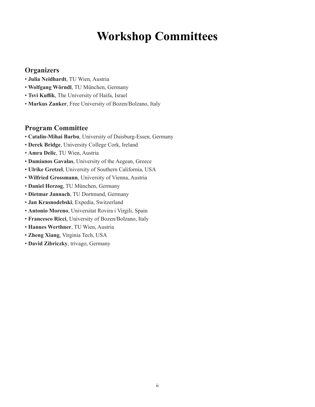### **Workshop Committees**

#### **Organizers**

- **Julia Neidhardt**, TU Wien, Austria
- **Wolfgang Wörndl**, TU München, Germany
- **Tsvi Kuflik**, The University of Haifa, Israel
- **Markus Zanker**, Free University of Bozen/Bolzano, Italy

#### **Program Committee**

- **Catalin-Mihai Barbu**, University of Duisburg-Essen, Germany
- **Derek Bridge**, University College Cork, Ireland
- **Amra Delic**, TU Wien, Austria
- **Damianos Gavalas**, University of the Aegean, Greece
- **Ulrike Gretzel**, University of Southern California, USA
- **Wilfried Grossmann**, University of Vienna, Austria
- **Daniel Herzog**, TU München, Germany
- **Dietmar Jannach**, TU Dortmund, Germany
- **Jan Krasnodebski**, Expedia, Switzerland
- **Antonio Moreno**, Universitat Rovira i Virgili, Spain
- **Francesco Ricci**, University of Bozen/Bolzano, Italy
- **Hannes Werthner**, TU Wien, Austria
- **Zheng Xiang**, Virginia Tech, USA
- **David Zibriczky**, trivago, Germany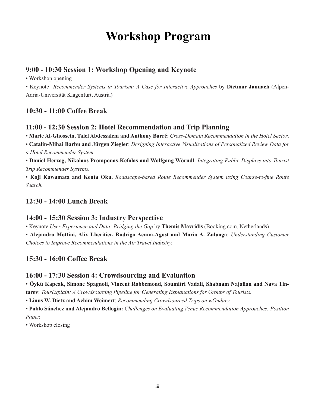### **Workshop Program**

#### **9:00 - 10:30 Session 1: Workshop Opening and Keynote**

• Workshop opening

• Keynote *Recommender Systems in Tourism: A Case for Interactive Approaches* by **Dietmar Jannach** (Alpen-Adria-Universität Klagenfurt, Austria)

#### **10:30 - 11:00 Coffee Break**

#### **11:00 - 12:30 Session 2: Hotel Recommendation and Trip Planning**

• **Marie Al-Ghossein, Talel Abdessalem and Anthony Barré**: *Cross-Domain Recommendation in the Hotel Sector*.

• **Catalin-Mihai Barbu and Jürgen Ziegler**: *Designing Interactive Visualizations of Personalized Review Data for a Hotel Recommender System.*

• **Daniel Herzog, Nikolaos Promponas-Kefalas and Wolfgang Wörndl**: *Integrating Public Displays into Tourist Trip Recommender Systems.*

• **Koji Kawamata and Kenta Oku.** *Roadscape-based Route Recommender System using Coarse-to-fine Route Search.*

#### **12:30 - 14:00 Lunch Break**

#### **14:00 - 15:30 Session 3: Industry Perspective**

• Keynote *User Experience and Data: Bridging the Gap* by **Themis Mavridis** (Booking.com, Netherlands)

• **Alejandro Mottini, Alix Lheritier, Rodrigo Acuna-Agost and Maria A. Zuluaga**: *Understanding Customer Choices to Improve Recommendations in the Air Travel Industry.*

#### **15:30 - 16:00 Coffee Break**

#### **16:00 - 17:30 Session 4: Crowdsourcing and Evaluation**

• **Öykü Kapcak, Simone Spagnoli, Vincent Robbemond, Soumitri Vadali, Shabnam Najafian and Nava Tintarev**: *TourExplain: A Crowdsourcing Pipeline for Generating Explanations for Groups of Tourists.*

• **Linus W. Dietz and Achim Weimert**: *Recommending Crowdsourced Trips on wOndary.*

• **Pablo Sánchez and Alejandro Bellogin:** *Challenges on Evaluating Venue Recommendation Approaches: Position Paper.*

• Workshop closing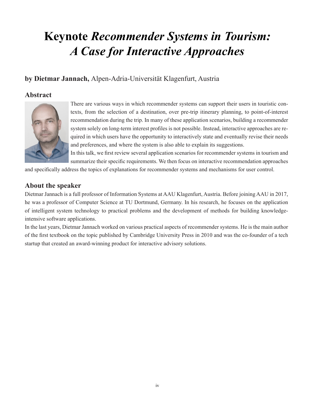## **Keynote** *Recommender Systems in Tourism: A Case for Interactive Approaches*

#### **by Dietmar Jannach,** Alpen-Adria-Universität Klagenfurt, Austria

#### **Abstract**



There are various ways in which recommender systems can support their users in touristic contexts, from the selection of a destination, over pre-trip itinerary planning, to point-of-interest recommendation during the trip. In many of these application scenarios, building a recommender system solely on long-term interest profiles is not possible. Instead, interactive approaches are required in which users have the opportunity to interactively state and eventually revise their needs and preferences, and where the system is also able to explain its suggestions.

In this talk, we first review several application scenarios for recommender systems in tourism and summarize their specific requirements. We then focus on interactive recommendation approaches

and specifically address the topics of explanations for recommender systems and mechanisms for user control.

#### **About the speaker**

Dietmar Jannach is a full professor of Information Systems at AAU Klagenfurt, Austria. Before joining AAU in 2017, he was a professor of Computer Science at TU Dortmund, Germany. In his research, he focuses on the application of intelligent system technology to practical problems and the development of methods for building knowledgeintensive software applications.

In the last years, Dietmar Jannach worked on various practical aspects of recommender systems. He is the main author of the first textbook on the topic published by Cambridge University Press in 2010 and was the co-founder of a tech startup that created an award-winning product for interactive advisory solutions.